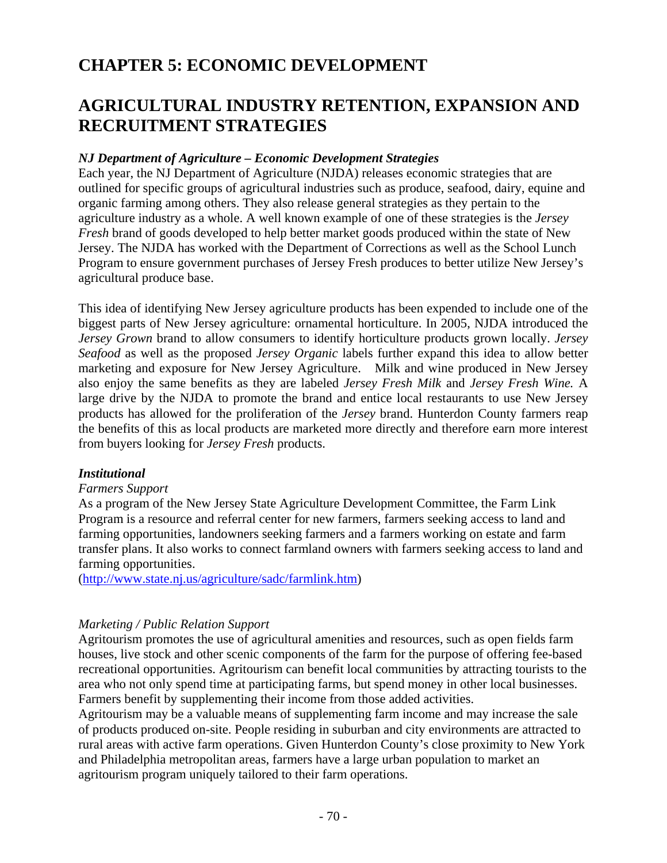# **CHAPTER 5: ECONOMIC DEVELOPMENT**

# **AGRICULTURAL INDUSTRY RETENTION, EXPANSION AND RECRUITMENT STRATEGIES**

## *NJ Department of Agriculture – Economic Development Strategies*

Each year, the NJ Department of Agriculture (NJDA) releases economic strategies that are outlined for specific groups of agricultural industries such as produce, seafood, dairy, equine and organic farming among others. They also release general strategies as they pertain to the agriculture industry as a whole. A well known example of one of these strategies is the *Jersey Fresh* brand of goods developed to help better market goods produced within the state of New Jersey. The NJDA has worked with the Department of Corrections as well as the School Lunch Program to ensure government purchases of Jersey Fresh produces to better utilize New Jersey's agricultural produce base.

This idea of identifying New Jersey agriculture products has been expended to include one of the biggest parts of New Jersey agriculture: ornamental horticulture. In 2005, NJDA introduced the *Jersey Grown* brand to allow consumers to identify horticulture products grown locally. *Jersey Seafood* as well as the proposed *Jersey Organic* labels further expand this idea to allow better marketing and exposure for New Jersey Agriculture. Milk and wine produced in New Jersey also enjoy the same benefits as they are labeled *Jersey Fresh Milk* and *Jersey Fresh Wine.* A large drive by the NJDA to promote the brand and entice local restaurants to use New Jersey products has allowed for the proliferation of the *Jersey* brand. Hunterdon County farmers reap the benefits of this as local products are marketed more directly and therefore earn more interest from buyers looking for *Jersey Fresh* products.

## *Institutional*

#### *Farmers Support*

As a program of the New Jersey State Agriculture Development Committee, the Farm Link Program is a resource and referral center for new farmers, farmers seeking access to land and farming opportunities, landowners seeking farmers and a farmers working on estate and farm transfer plans. It also works to connect farmland owners with farmers seeking access to land and farming opportunities.

(http://www.state.nj.us/agriculture/sadc/farmlink.htm)

## *Marketing / Public Relation Support*

Agritourism promotes the use of agricultural amenities and resources, such as open fields farm houses, live stock and other scenic components of the farm for the purpose of offering fee-based recreational opportunities. Agritourism can benefit local communities by attracting tourists to the area who not only spend time at participating farms, but spend money in other local businesses. Farmers benefit by supplementing their income from those added activities.

Agritourism may be a valuable means of supplementing farm income and may increase the sale of products produced on-site. People residing in suburban and city environments are attracted to rural areas with active farm operations. Given Hunterdon County's close proximity to New York and Philadelphia metropolitan areas, farmers have a large urban population to market an agritourism program uniquely tailored to their farm operations.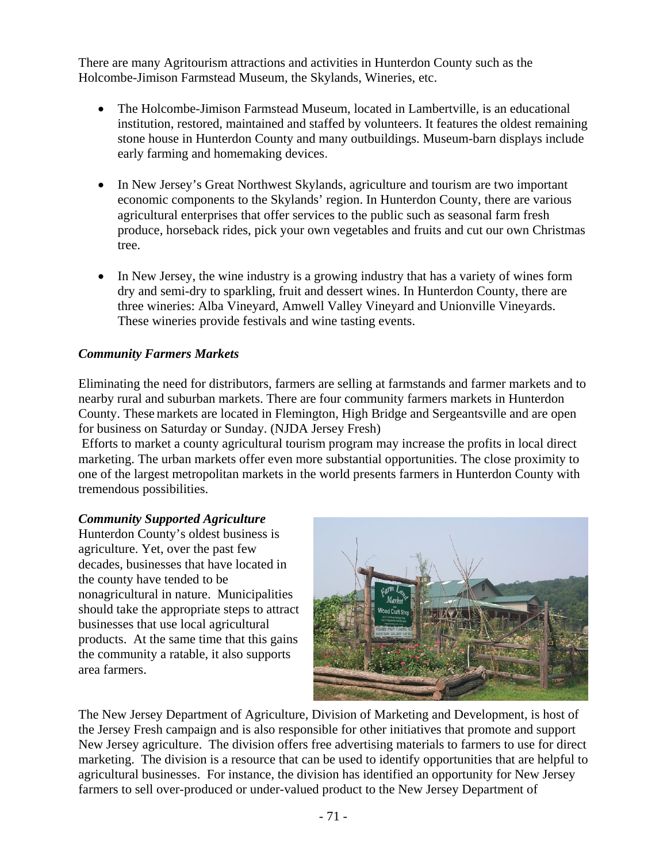There are many Agritourism attractions and activities in Hunterdon County such as the Holcombe-Jimison Farmstead Museum, the Skylands, Wineries, etc.

- The Holcombe-Jimison Farmstead Museum, located in Lambertville, is an educational institution, restored, maintained and staffed by volunteers. It features the oldest remaining stone house in Hunterdon County and many outbuildings. Museum-barn displays include early farming and homemaking devices.
- In New Jersey's Great Northwest Skylands, agriculture and tourism are two important economic components to the Skylands' region. In Hunterdon County, there are various agricultural enterprises that offer services to the public such as seasonal farm fresh produce, horseback rides, pick your own vegetables and fruits and cut our own Christmas tree.
- In New Jersey, the wine industry is a growing industry that has a variety of wines form dry and semi-dry to sparkling, fruit and dessert wines. In Hunterdon County, there are three wineries: Alba Vineyard, Amwell Valley Vineyard and Unionville Vineyards. These wineries provide festivals and wine tasting events.

## *Community Farmers Markets*

Eliminating the need for distributors, farmers are selling at farmstands and farmer markets and to nearby rural and suburban markets. There are four community farmers markets in Hunterdon County. These markets are located in Flemington, High Bridge and Sergeantsville and are open for business on Saturday or Sunday. (NJDA Jersey Fresh)

 Efforts to market a county agricultural tourism program may increase the profits in local direct marketing. The urban markets offer even more substantial opportunities. The close proximity to one of the largest metropolitan markets in the world presents farmers in Hunterdon County with tremendous possibilities.

## *Community Supported Agriculture*

Hunterdon County's oldest business is agriculture. Yet, over the past few decades, businesses that have located in the county have tended to be nonagricultural in nature. Municipalities should take the appropriate steps to attract businesses that use local agricultural products. At the same time that this gains the community a ratable, it also supports area farmers.



The New Jersey Department of Agriculture, Division of Marketing and Development, is host of the Jersey Fresh campaign and is also responsible for other initiatives that promote and support New Jersey agriculture. The division offers free advertising materials to farmers to use for direct marketing. The division is a resource that can be used to identify opportunities that are helpful to agricultural businesses. For instance, the division has identified an opportunity for New Jersey farmers to sell over-produced or under-valued product to the New Jersey Department of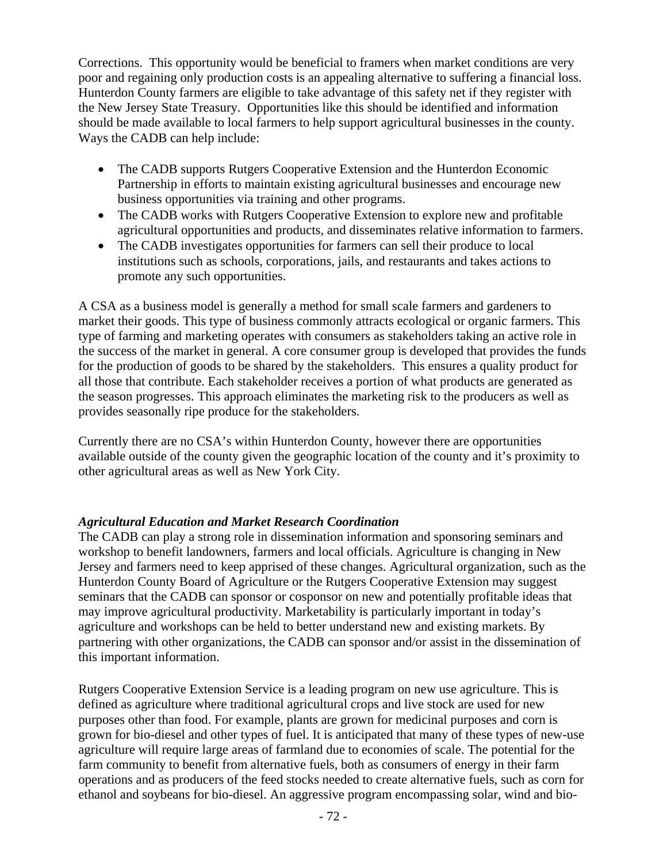Corrections. This opportunity would be beneficial to framers when market conditions are very poor and regaining only production costs is an appealing alternative to suffering a financial loss. Hunterdon County farmers are eligible to take advantage of this safety net if they register with the New Jersey State Treasury. Opportunities like this should be identified and information should be made available to local farmers to help support agricultural businesses in the county. Ways the CADB can help include:

- The CADB supports Rutgers Cooperative Extension and the Hunterdon Economic Partnership in efforts to maintain existing agricultural businesses and encourage new business opportunities via training and other programs.
- The CADB works with Rutgers Cooperative Extension to explore new and profitable agricultural opportunities and products, and disseminates relative information to farmers.
- The CADB investigates opportunities for farmers can sell their produce to local institutions such as schools, corporations, jails, and restaurants and takes actions to promote any such opportunities.

A CSA as a business model is generally a method for small scale farmers and gardeners to market their goods. This type of business commonly attracts ecological or organic farmers. This type of farming and marketing operates with consumers as stakeholders taking an active role in the success of the market in general. A core consumer group is developed that provides the funds for the production of goods to be shared by the stakeholders. This ensures a quality product for all those that contribute. Each stakeholder receives a portion of what products are generated as the season progresses. This approach eliminates the marketing risk to the producers as well as provides seasonally ripe produce for the stakeholders.

Currently there are no CSA's within Hunterdon County, however there are opportunities available outside of the county given the geographic location of the county and it's proximity to other agricultural areas as well as New York City.

## *Agricultural Education and Market Research Coordination*

The CADB can play a strong role in dissemination information and sponsoring seminars and workshop to benefit landowners, farmers and local officials. Agriculture is changing in New Jersey and farmers need to keep apprised of these changes. Agricultural organization, such as the Hunterdon County Board of Agriculture or the Rutgers Cooperative Extension may suggest seminars that the CADB can sponsor or cosponsor on new and potentially profitable ideas that may improve agricultural productivity. Marketability is particularly important in today's agriculture and workshops can be held to better understand new and existing markets. By partnering with other organizations, the CADB can sponsor and/or assist in the dissemination of this important information.

Rutgers Cooperative Extension Service is a leading program on new use agriculture. This is defined as agriculture where traditional agricultural crops and live stock are used for new purposes other than food. For example, plants are grown for medicinal purposes and corn is grown for bio-diesel and other types of fuel. It is anticipated that many of these types of new-use agriculture will require large areas of farmland due to economies of scale. The potential for the farm community to benefit from alternative fuels, both as consumers of energy in their farm operations and as producers of the feed stocks needed to create alternative fuels, such as corn for ethanol and soybeans for bio-diesel. An aggressive program encompassing solar, wind and bio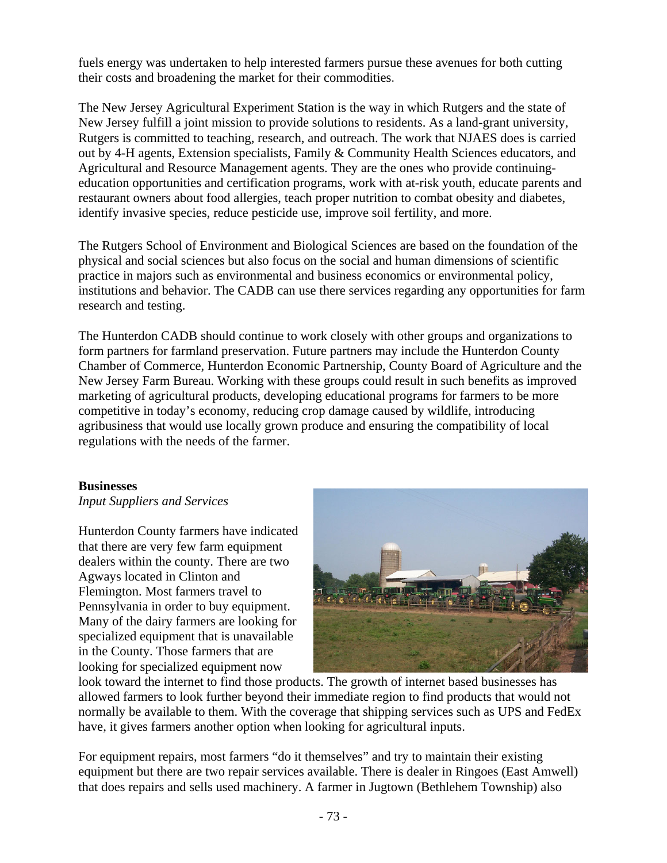fuels energy was undertaken to help interested farmers pursue these avenues for both cutting their costs and broadening the market for their commodities.

The New Jersey Agricultural Experiment Station is the way in which Rutgers and the state of New Jersey fulfill a joint mission to provide solutions to residents. As a land-grant university, Rutgers is committed to teaching, research, and outreach. The work that NJAES does is carried out by 4-H agents, Extension specialists, Family & Community Health Sciences educators, and Agricultural and Resource Management agents. They are the ones who provide continuingeducation opportunities and certification programs, work with at-risk youth, educate parents and restaurant owners about food allergies, teach proper nutrition to combat obesity and diabetes, identify invasive species, reduce pesticide use, improve soil fertility, and more.

The Rutgers School of Environment and Biological Sciences are based on the foundation of the physical and social sciences but also focus on the social and human dimensions of scientific practice in majors such as environmental and business economics or environmental policy, institutions and behavior. The CADB can use there services regarding any opportunities for farm research and testing.

The Hunterdon CADB should continue to work closely with other groups and organizations to form partners for farmland preservation. Future partners may include the Hunterdon County Chamber of Commerce, Hunterdon Economic Partnership, County Board of Agriculture and the New Jersey Farm Bureau. Working with these groups could result in such benefits as improved marketing of agricultural products, developing educational programs for farmers to be more competitive in today's economy, reducing crop damage caused by wildlife, introducing agribusiness that would use locally grown produce and ensuring the compatibility of local regulations with the needs of the farmer.

#### **Businesses**

*Input Suppliers and Services* 

Hunterdon County farmers have indicated that there are very few farm equipment dealers within the county. There are two Agways located in Clinton and Flemington. Most farmers travel to Pennsylvania in order to buy equipment. Many of the dairy farmers are looking for specialized equipment that is unavailable in the County. Those farmers that are looking for specialized equipment now



look toward the internet to find those products. The growth of internet based businesses has allowed farmers to look further beyond their immediate region to find products that would not normally be available to them. With the coverage that shipping services such as UPS and FedEx have, it gives farmers another option when looking for agricultural inputs.

For equipment repairs, most farmers "do it themselves" and try to maintain their existing equipment but there are two repair services available. There is dealer in Ringoes (East Amwell) that does repairs and sells used machinery. A farmer in Jugtown (Bethlehem Township) also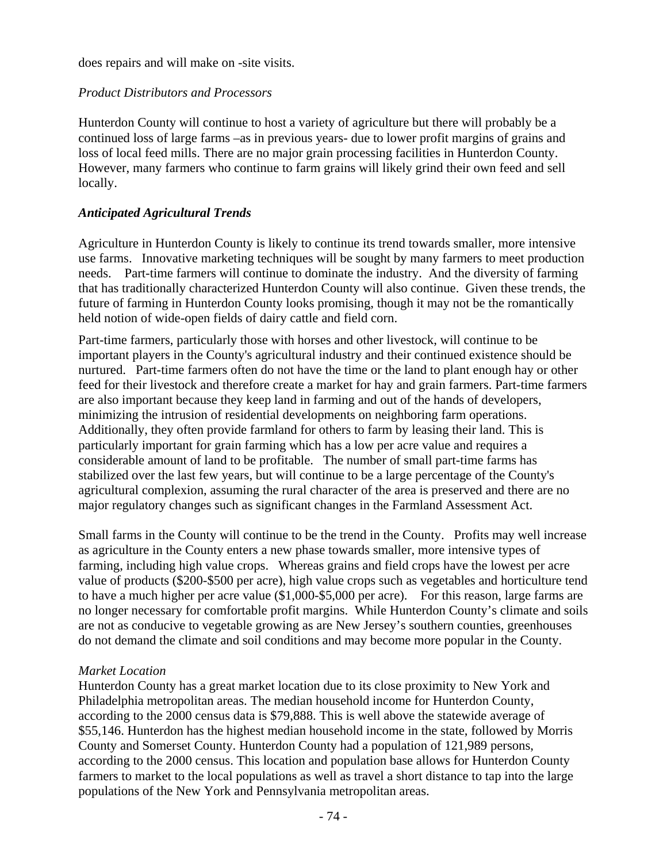does repairs and will make on -site visits.

### *Product Distributors and Processors*

Hunterdon County will continue to host a variety of agriculture but there will probably be a continued loss of large farms –as in previous years- due to lower profit margins of grains and loss of local feed mills. There are no major grain processing facilities in Hunterdon County. However, many farmers who continue to farm grains will likely grind their own feed and sell locally.

### *Anticipated Agricultural Trends*

Agriculture in Hunterdon County is likely to continue its trend towards smaller, more intensive use farms. Innovative marketing techniques will be sought by many farmers to meet production needs. Part-time farmers will continue to dominate the industry. And the diversity of farming that has traditionally characterized Hunterdon County will also continue. Given these trends, the future of farming in Hunterdon County looks promising, though it may not be the romantically held notion of wide-open fields of dairy cattle and field corn.

Part-time farmers, particularly those with horses and other livestock, will continue to be important players in the County's agricultural industry and their continued existence should be nurtured. Part-time farmers often do not have the time or the land to plant enough hay or other feed for their livestock and therefore create a market for hay and grain farmers. Part-time farmers are also important because they keep land in farming and out of the hands of developers, minimizing the intrusion of residential developments on neighboring farm operations. Additionally, they often provide farmland for others to farm by leasing their land. This is particularly important for grain farming which has a low per acre value and requires a considerable amount of land to be profitable. The number of small part-time farms has stabilized over the last few years, but will continue to be a large percentage of the County's agricultural complexion, assuming the rural character of the area is preserved and there are no major regulatory changes such as significant changes in the Farmland Assessment Act.

Small farms in the County will continue to be the trend in the County. Profits may well increase as agriculture in the County enters a new phase towards smaller, more intensive types of farming, including high value crops. Whereas grains and field crops have the lowest per acre value of products (\$200-\$500 per acre), high value crops such as vegetables and horticulture tend to have a much higher per acre value (\$1,000-\$5,000 per acre). For this reason, large farms are no longer necessary for comfortable profit margins. While Hunterdon County's climate and soils are not as conducive to vegetable growing as are New Jersey's southern counties, greenhouses do not demand the climate and soil conditions and may become more popular in the County.

#### *Market Location*

Hunterdon County has a great market location due to its close proximity to New York and Philadelphia metropolitan areas. The median household income for Hunterdon County, according to the 2000 census data is \$79,888. This is well above the statewide average of \$55,146. Hunterdon has the highest median household income in the state, followed by Morris County and Somerset County. Hunterdon County had a population of 121,989 persons, according to the 2000 census. This location and population base allows for Hunterdon County farmers to market to the local populations as well as travel a short distance to tap into the large populations of the New York and Pennsylvania metropolitan areas.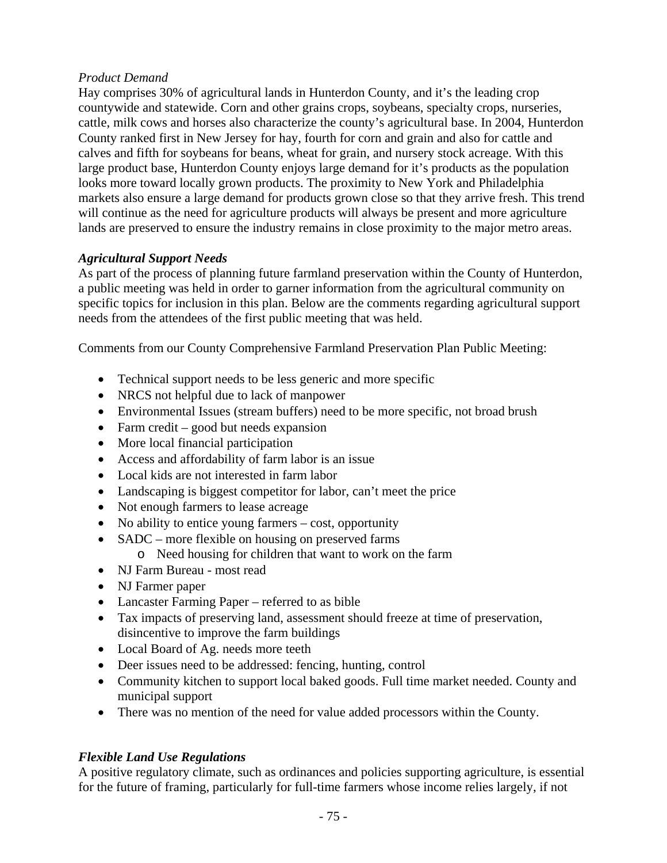## *Product Demand*

Hay comprises 30% of agricultural lands in Hunterdon County, and it's the leading crop countywide and statewide. Corn and other grains crops, soybeans, specialty crops, nurseries, cattle, milk cows and horses also characterize the county's agricultural base. In 2004, Hunterdon County ranked first in New Jersey for hay, fourth for corn and grain and also for cattle and calves and fifth for soybeans for beans, wheat for grain, and nursery stock acreage. With this large product base, Hunterdon County enjoys large demand for it's products as the population looks more toward locally grown products. The proximity to New York and Philadelphia markets also ensure a large demand for products grown close so that they arrive fresh. This trend will continue as the need for agriculture products will always be present and more agriculture lands are preserved to ensure the industry remains in close proximity to the major metro areas.

## *Agricultural Support Needs*

As part of the process of planning future farmland preservation within the County of Hunterdon, a public meeting was held in order to garner information from the agricultural community on specific topics for inclusion in this plan. Below are the comments regarding agricultural support needs from the attendees of the first public meeting that was held.

Comments from our County Comprehensive Farmland Preservation Plan Public Meeting:

- Technical support needs to be less generic and more specific
- NRCS not helpful due to lack of manpower
- Environmental Issues (stream buffers) need to be more specific, not broad brush
- Farm credit good but needs expansion
- More local financial participation
- Access and affordability of farm labor is an issue
- Local kids are not interested in farm labor
- Landscaping is biggest competitor for labor, can't meet the price
- Not enough farmers to lease acreage
- No ability to entice young farmers cost, opportunity
- SADC more flexible on housing on preserved farms
- o Need housing for children that want to work on the farm
- NJ Farm Bureau most read
- NJ Farmer paper
- Lancaster Farming Paper referred to as bible
- Tax impacts of preserving land, assessment should freeze at time of preservation, disincentive to improve the farm buildings
- Local Board of Ag. needs more teeth
- Deer issues need to be addressed: fencing, hunting, control
- Community kitchen to support local baked goods. Full time market needed. County and municipal support
- There was no mention of the need for value added processors within the County.

## *Flexible Land Use Regulations*

A positive regulatory climate, such as ordinances and policies supporting agriculture, is essential for the future of framing, particularly for full-time farmers whose income relies largely, if not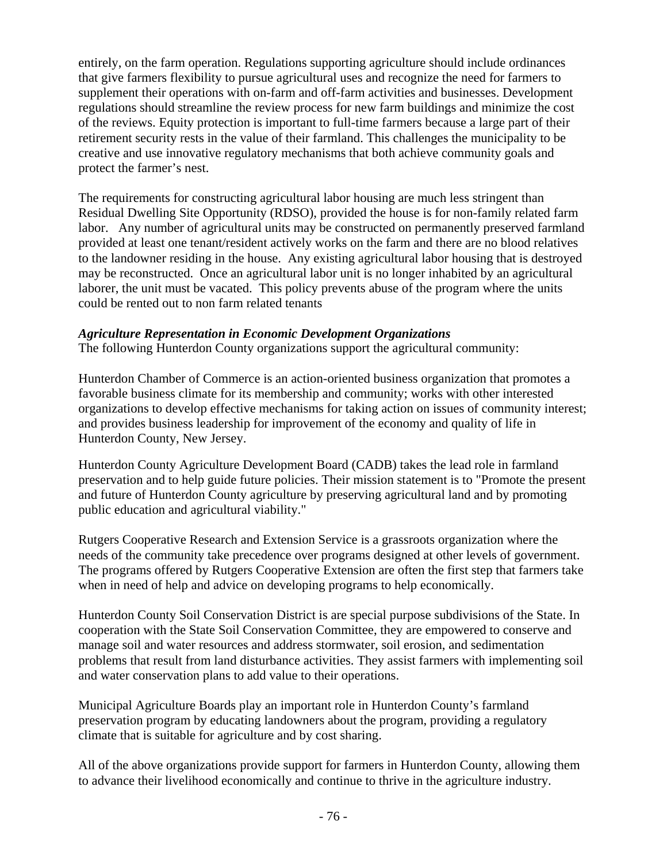entirely, on the farm operation. Regulations supporting agriculture should include ordinances that give farmers flexibility to pursue agricultural uses and recognize the need for farmers to supplement their operations with on-farm and off-farm activities and businesses. Development regulations should streamline the review process for new farm buildings and minimize the cost of the reviews. Equity protection is important to full-time farmers because a large part of their retirement security rests in the value of their farmland. This challenges the municipality to be creative and use innovative regulatory mechanisms that both achieve community goals and protect the farmer's nest.

The requirements for constructing agricultural labor housing are much less stringent than Residual Dwelling Site Opportunity (RDSO), provided the house is for non-family related farm labor. Any number of agricultural units may be constructed on permanently preserved farmland provided at least one tenant/resident actively works on the farm and there are no blood relatives to the landowner residing in the house. Any existing agricultural labor housing that is destroyed may be reconstructed. Once an agricultural labor unit is no longer inhabited by an agricultural laborer, the unit must be vacated. This policy prevents abuse of the program where the units could be rented out to non farm related tenants

## *Agriculture Representation in Economic Development Organizations*

The following Hunterdon County organizations support the agricultural community:

Hunterdon Chamber of Commerce is an action-oriented business organization that promotes a favorable business climate for its membership and community; works with other interested organizations to develop effective mechanisms for taking action on issues of community interest; and provides business leadership for improvement of the economy and quality of life in Hunterdon County, New Jersey.

Hunterdon County Agriculture Development Board (CADB) takes the lead role in farmland preservation and to help guide future policies. Their mission statement is to "Promote the present and future of Hunterdon County agriculture by preserving agricultural land and by promoting public education and agricultural viability."

Rutgers Cooperative Research and Extension Service is a grassroots organization where the needs of the community take precedence over programs designed at other levels of government. The programs offered by Rutgers Cooperative Extension are often the first step that farmers take when in need of help and advice on developing programs to help economically.

Hunterdon County Soil Conservation District is are special purpose subdivisions of the State. In cooperation with the State Soil Conservation Committee, they are empowered to conserve and manage soil and water resources and address stormwater, soil erosion, and sedimentation problems that result from land disturbance activities. They assist farmers with implementing soil and water conservation plans to add value to their operations.

Municipal Agriculture Boards play an important role in Hunterdon County's farmland preservation program by educating landowners about the program, providing a regulatory climate that is suitable for agriculture and by cost sharing.

All of the above organizations provide support for farmers in Hunterdon County, allowing them to advance their livelihood economically and continue to thrive in the agriculture industry.